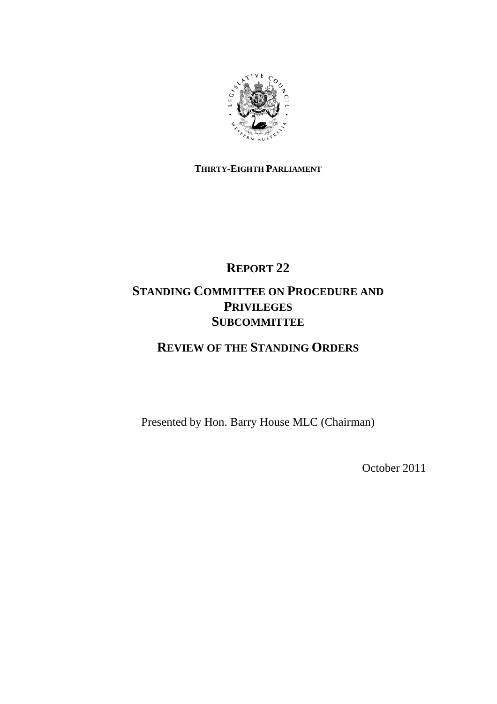

## **THIRTY-EIGHTH PARLIAMENT**

# **REPORT 22**

# **STANDING COMMITTEE ON PROCEDURE AND PRIVILEGES SUBCOMMITTEE**

# **REVIEW OF THE STANDING ORDERS**

Presented by Hon. Barry House MLC (Chairman)

October 2011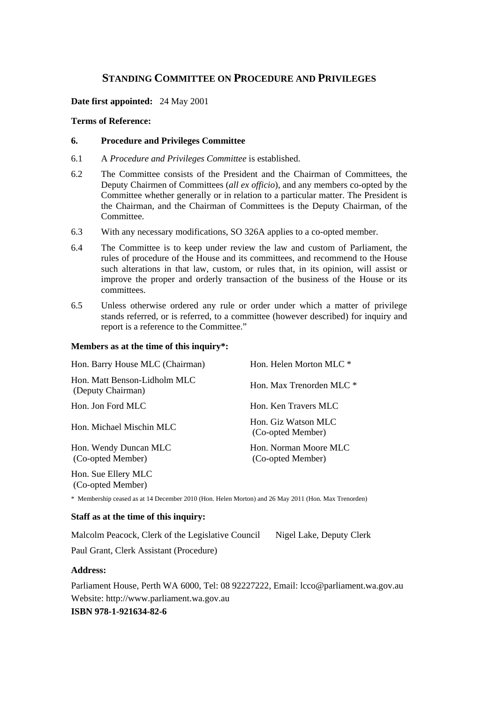## **STANDING COMMITTEE ON PROCEDURE AND PRIVILEGES**

**Date first appointed:** 24 May 2001

#### **Terms of Reference:**

#### **6. Procedure and Privileges Committee**

- 6.1 A *Procedure and Privileges Committee* is established.
- 6.2 The Committee consists of the President and the Chairman of Committees, the Deputy Chairmen of Committees (*all ex officio*), and any members co-opted by the Committee whether generally or in relation to a particular matter. The President is the Chairman, and the Chairman of Committees is the Deputy Chairman, of the Committee.
- 6.3 With any necessary modifications, SO 326A applies to a co-opted member.
- 6.4 The Committee is to keep under review the law and custom of Parliament, the rules of procedure of the House and its committees, and recommend to the House such alterations in that law, custom, or rules that, in its opinion, will assist or improve the proper and orderly transaction of the business of the House or its committees.
- 6.5 Unless otherwise ordered any rule or order under which a matter of privilege stands referred, or is referred, to a committee (however described) for inquiry and report is a reference to the Committee."

#### **Members as at the time of this inquiry\*:**

| Hon. Barry House MLC (Chairman)                   | Hon. Helen Morton MLC *                    |
|---------------------------------------------------|--------------------------------------------|
| Hon. Matt Benson-Lidholm MLC<br>(Deputy Chairman) | Hon. Max Trenorden MLC *                   |
| Hon. Jon Ford MLC                                 | Hon. Ken Travers MLC                       |
| Hon. Michael Mischin MLC                          | Hon. Giz Watson MLC<br>(Co-opted Member)   |
| Hon. Wendy Duncan MLC<br>(Co-opted Member)        | Hon. Norman Moore MLC<br>(Co-opted Member) |
| Hon. Sue Ellery MLC<br>(Co-opted Member)          |                                            |

\* Membership ceased as at 14 December 2010 (Hon. Helen Morton) and 26 May 2011 (Hon. Max Trenorden)

#### **Staff as at the time of this inquiry:**

Malcolm Peacock, Clerk of the Legislative Council Nigel Lake, Deputy Clerk

Paul Grant, Clerk Assistant (Procedure)

#### **Address:**

Parliament House, Perth WA 6000, Tel: 08 92227222, Email: lcco@parliament.wa.gov.au Website: http://www.parliament.wa.gov.au **ISBN 978-1-921634-82-6**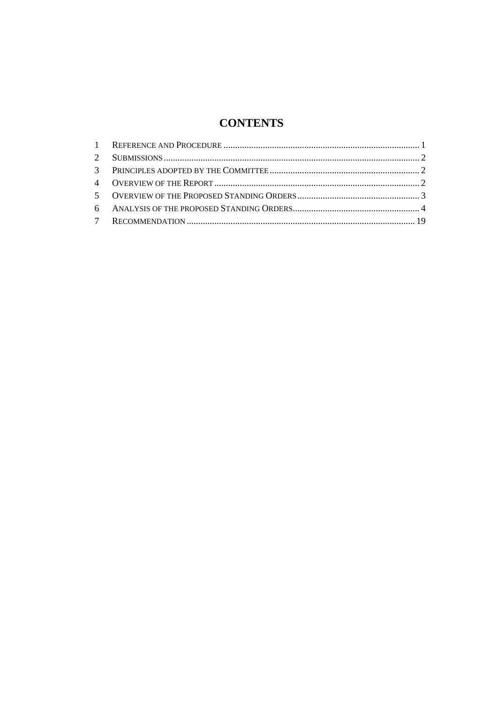# **CONTENTS**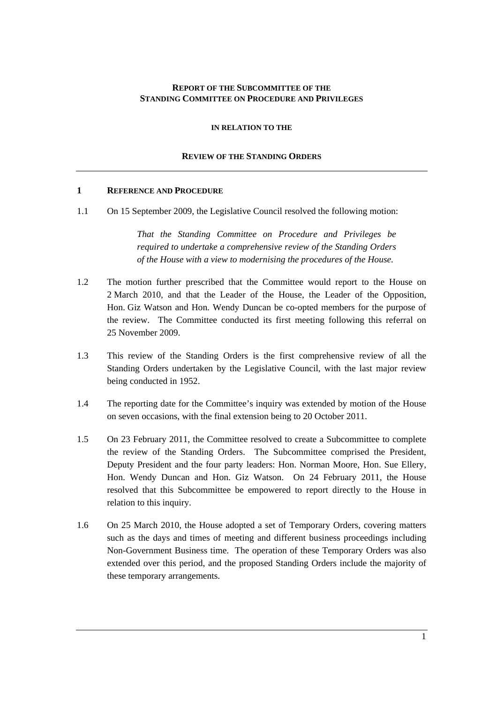#### **REPORT OF THE SUBCOMMITTEE OF THE STANDING COMMITTEE ON PROCEDURE AND PRIVILEGES**

**IN RELATION TO THE**

#### **REVIEW OF THE STANDING ORDERS**

#### **1 REFERENCE AND PROCEDURE**

1.1 On 15 September 2009, the Legislative Council resolved the following motion:

*That the Standing Committee on Procedure and Privileges be required to undertake a comprehensive review of the Standing Orders of the House with a view to modernising the procedures of the House.* 

- 1.2 The motion further prescribed that the Committee would report to the House on 2 March 2010, and that the Leader of the House, the Leader of the Opposition, Hon. Giz Watson and Hon. Wendy Duncan be co-opted members for the purpose of the review. The Committee conducted its first meeting following this referral on 25 November 2009.
- 1.3 This review of the Standing Orders is the first comprehensive review of all the Standing Orders undertaken by the Legislative Council, with the last major review being conducted in 1952.
- 1.4 The reporting date for the Committee's inquiry was extended by motion of the House on seven occasions, with the final extension being to 20 October 2011.
- 1.5 On 23 February 2011, the Committee resolved to create a Subcommittee to complete the review of the Standing Orders. The Subcommittee comprised the President, Deputy President and the four party leaders: Hon. Norman Moore, Hon. Sue Ellery, Hon. Wendy Duncan and Hon. Giz Watson. On 24 February 2011, the House resolved that this Subcommittee be empowered to report directly to the House in relation to this inquiry.
- 1.6 On 25 March 2010, the House adopted a set of Temporary Orders, covering matters such as the days and times of meeting and different business proceedings including Non-Government Business time. The operation of these Temporary Orders was also extended over this period, and the proposed Standing Orders include the majority of these temporary arrangements.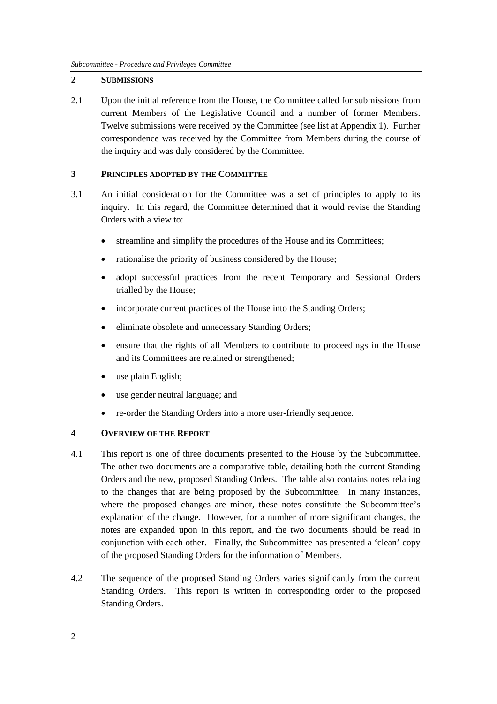### **2 SUBMISSIONS**

2.1 Upon the initial reference from the House, the Committee called for submissions from current Members of the Legislative Council and a number of former Members. Twelve submissions were received by the Committee (see list at Appendix 1). Further correspondence was received by the Committee from Members during the course of the inquiry and was duly considered by the Committee.

## **3 PRINCIPLES ADOPTED BY THE COMMITTEE**

- 3.1 An initial consideration for the Committee was a set of principles to apply to its inquiry. In this regard, the Committee determined that it would revise the Standing Orders with a view to:
	- streamline and simplify the procedures of the House and its Committees;
	- rationalise the priority of business considered by the House;
	- adopt successful practices from the recent Temporary and Sessional Orders trialled by the House;
	- incorporate current practices of the House into the Standing Orders;
	- eliminate obsolete and unnecessary Standing Orders:
	- ensure that the rights of all Members to contribute to proceedings in the House and its Committees are retained or strengthened;
	- use plain English;
	- use gender neutral language; and
	- re-order the Standing Orders into a more user-friendly sequence.

## **4 OVERVIEW OF THE REPORT**

- 4.1 This report is one of three documents presented to the House by the Subcommittee. The other two documents are a comparative table, detailing both the current Standing Orders and the new, proposed Standing Orders. The table also contains notes relating to the changes that are being proposed by the Subcommittee. In many instances, where the proposed changes are minor, these notes constitute the Subcommittee's explanation of the change. However, for a number of more significant changes, the notes are expanded upon in this report, and the two documents should be read in conjunction with each other. Finally, the Subcommittee has presented a 'clean' copy of the proposed Standing Orders for the information of Members.
- 4.2 The sequence of the proposed Standing Orders varies significantly from the current Standing Orders. This report is written in corresponding order to the proposed Standing Orders.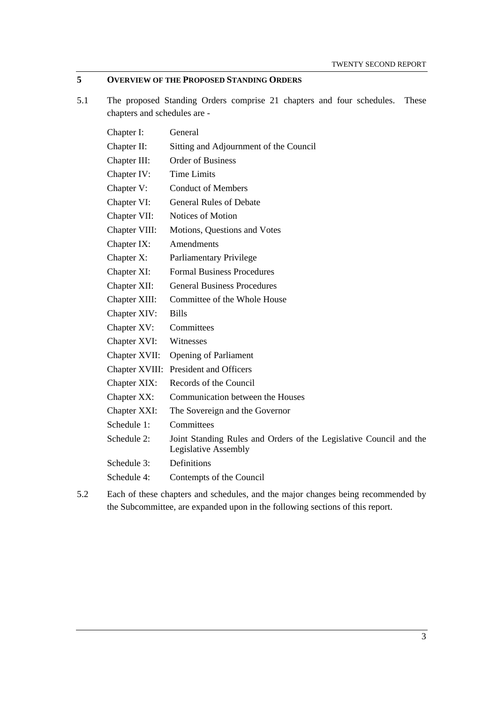## **5 OVERVIEW OF THE PROPOSED STANDING ORDERS**

5.1 The proposed Standing Orders comprise 21 chapters and four schedules. These chapters and schedules are -

| Chapter I:     | General                                                                                    |
|----------------|--------------------------------------------------------------------------------------------|
| Chapter II:    | Sitting and Adjournment of the Council                                                     |
| Chapter III:   | <b>Order of Business</b>                                                                   |
| Chapter IV:    | <b>Time Limits</b>                                                                         |
| Chapter V:     | <b>Conduct of Members</b>                                                                  |
| Chapter VI:    | <b>General Rules of Debate</b>                                                             |
| Chapter VII:   | Notices of Motion                                                                          |
| Chapter VIII:  | Motions, Questions and Votes                                                               |
| Chapter IX:    | Amendments                                                                                 |
| Chapter X:     | Parliamentary Privilege                                                                    |
| Chapter XI:    | <b>Formal Business Procedures</b>                                                          |
| Chapter XII:   | <b>General Business Procedures</b>                                                         |
| Chapter XIII:  | Committee of the Whole House                                                               |
| Chapter XIV:   | <b>Bills</b>                                                                               |
| Chapter XV:    | Committees                                                                                 |
| Chapter XVI:   | Witnesses                                                                                  |
| Chapter XVII:  | <b>Opening of Parliament</b>                                                               |
| Chapter XVIII: | <b>President and Officers</b>                                                              |
| Chapter XIX:   | Records of the Council                                                                     |
| Chapter XX:    | Communication between the Houses                                                           |
| Chapter XXI:   | The Sovereign and the Governor                                                             |
| Schedule 1:    | Committees                                                                                 |
| Schedule 2:    | Joint Standing Rules and Orders of the Legislative Council and the<br>Legislative Assembly |
| Schedule 3:    | Definitions                                                                                |
| Schedule 4:    | Contempts of the Council                                                                   |
|                |                                                                                            |

5.2 Each of these chapters and schedules, and the major changes being recommended by the Subcommittee, are expanded upon in the following sections of this report.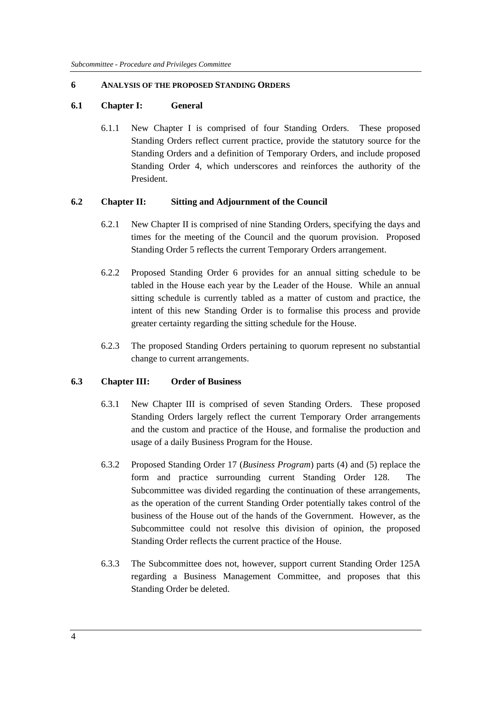#### **6 ANALYSIS OF THE PROPOSED STANDING ORDERS**

#### **6.1 Chapter I: General**

6.1.1 New Chapter I is comprised of four Standing Orders. These proposed Standing Orders reflect current practice, provide the statutory source for the Standing Orders and a definition of Temporary Orders, and include proposed Standing Order 4, which underscores and reinforces the authority of the President.

#### **6.2 Chapter II: Sitting and Adjournment of the Council**

- 6.2.1 New Chapter II is comprised of nine Standing Orders, specifying the days and times for the meeting of the Council and the quorum provision. Proposed Standing Order 5 reflects the current Temporary Orders arrangement.
- 6.2.2 Proposed Standing Order 6 provides for an annual sitting schedule to be tabled in the House each year by the Leader of the House. While an annual sitting schedule is currently tabled as a matter of custom and practice, the intent of this new Standing Order is to formalise this process and provide greater certainty regarding the sitting schedule for the House.
- 6.2.3 The proposed Standing Orders pertaining to quorum represent no substantial change to current arrangements.

#### **6.3 Chapter III: Order of Business**

- 6.3.1 New Chapter III is comprised of seven Standing Orders. These proposed Standing Orders largely reflect the current Temporary Order arrangements and the custom and practice of the House, and formalise the production and usage of a daily Business Program for the House.
- 6.3.2 Proposed Standing Order 17 (*Business Program*) parts (4) and (5) replace the form and practice surrounding current Standing Order 128. The Subcommittee was divided regarding the continuation of these arrangements, as the operation of the current Standing Order potentially takes control of the business of the House out of the hands of the Government. However, as the Subcommittee could not resolve this division of opinion, the proposed Standing Order reflects the current practice of the House.
- 6.3.3 The Subcommittee does not, however, support current Standing Order 125A regarding a Business Management Committee, and proposes that this Standing Order be deleted.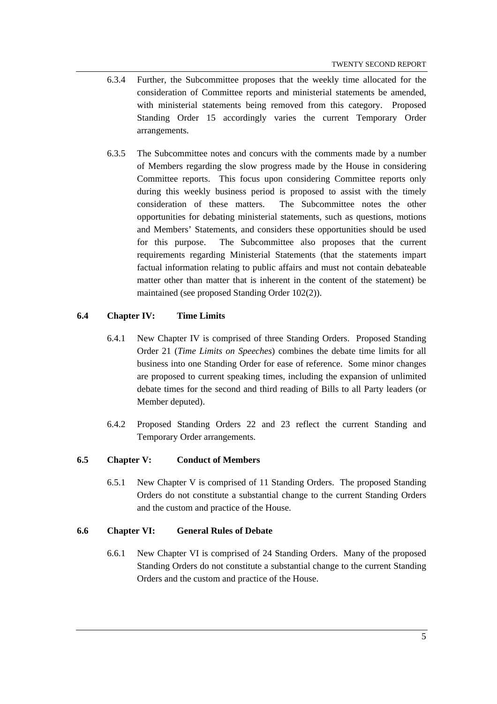- 6.3.4 Further, the Subcommittee proposes that the weekly time allocated for the consideration of Committee reports and ministerial statements be amended, with ministerial statements being removed from this category. Proposed Standing Order 15 accordingly varies the current Temporary Order arrangements.
- 6.3.5 The Subcommittee notes and concurs with the comments made by a number of Members regarding the slow progress made by the House in considering Committee reports. This focus upon considering Committee reports only during this weekly business period is proposed to assist with the timely consideration of these matters. The Subcommittee notes the other opportunities for debating ministerial statements, such as questions, motions and Members' Statements, and considers these opportunities should be used for this purpose. The Subcommittee also proposes that the current requirements regarding Ministerial Statements (that the statements impart factual information relating to public affairs and must not contain debateable matter other than matter that is inherent in the content of the statement) be maintained (see proposed Standing Order 102(2)).

## **6.4 Chapter IV: Time Limits**

- 6.4.1 New Chapter IV is comprised of three Standing Orders. Proposed Standing Order 21 (*Time Limits on Speeches*) combines the debate time limits for all business into one Standing Order for ease of reference. Some minor changes are proposed to current speaking times, including the expansion of unlimited debate times for the second and third reading of Bills to all Party leaders (or Member deputed).
- 6.4.2 Proposed Standing Orders 22 and 23 reflect the current Standing and Temporary Order arrangements.

## **6.5 Chapter V: Conduct of Members**

6.5.1 New Chapter V is comprised of 11 Standing Orders. The proposed Standing Orders do not constitute a substantial change to the current Standing Orders and the custom and practice of the House.

#### **6.6 Chapter VI: General Rules of Debate**

6.6.1 New Chapter VI is comprised of 24 Standing Orders. Many of the proposed Standing Orders do not constitute a substantial change to the current Standing Orders and the custom and practice of the House.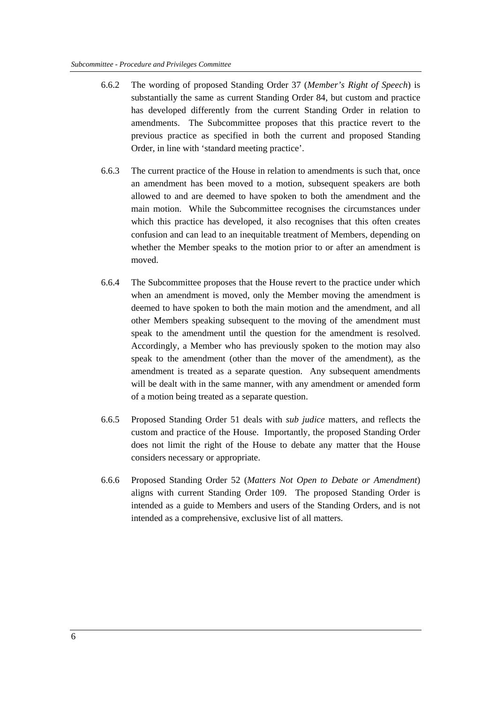- 6.6.2 The wording of proposed Standing Order 37 (*Member's Right of Speech*) is substantially the same as current Standing Order 84, but custom and practice has developed differently from the current Standing Order in relation to amendments. The Subcommittee proposes that this practice revert to the previous practice as specified in both the current and proposed Standing Order, in line with 'standard meeting practice'.
- 6.6.3 The current practice of the House in relation to amendments is such that, once an amendment has been moved to a motion, subsequent speakers are both allowed to and are deemed to have spoken to both the amendment and the main motion. While the Subcommittee recognises the circumstances under which this practice has developed, it also recognises that this often creates confusion and can lead to an inequitable treatment of Members, depending on whether the Member speaks to the motion prior to or after an amendment is moved.
- 6.6.4 The Subcommittee proposes that the House revert to the practice under which when an amendment is moved, only the Member moving the amendment is deemed to have spoken to both the main motion and the amendment, and all other Members speaking subsequent to the moving of the amendment must speak to the amendment until the question for the amendment is resolved. Accordingly, a Member who has previously spoken to the motion may also speak to the amendment (other than the mover of the amendment), as the amendment is treated as a separate question. Any subsequent amendments will be dealt with in the same manner, with any amendment or amended form of a motion being treated as a separate question.
- 6.6.5 Proposed Standing Order 51 deals with *sub judice* matters, and reflects the custom and practice of the House. Importantly, the proposed Standing Order does not limit the right of the House to debate any matter that the House considers necessary or appropriate.
- 6.6.6 Proposed Standing Order 52 (*Matters Not Open to Debate or Amendment*) aligns with current Standing Order 109. The proposed Standing Order is intended as a guide to Members and users of the Standing Orders, and is not intended as a comprehensive, exclusive list of all matters.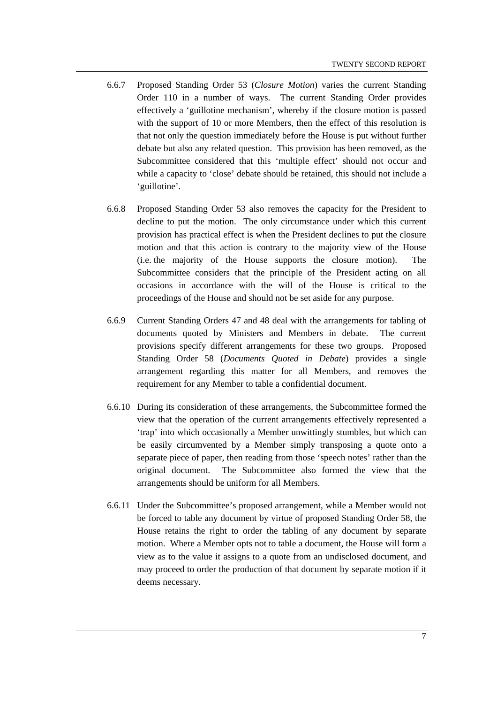- 6.6.7 Proposed Standing Order 53 (*Closure Motion*) varies the current Standing Order 110 in a number of ways. The current Standing Order provides effectively a 'guillotine mechanism', whereby if the closure motion is passed with the support of 10 or more Members, then the effect of this resolution is that not only the question immediately before the House is put without further debate but also any related question. This provision has been removed, as the Subcommittee considered that this 'multiple effect' should not occur and while a capacity to 'close' debate should be retained, this should not include a 'guillotine'.
- 6.6.8 Proposed Standing Order 53 also removes the capacity for the President to decline to put the motion. The only circumstance under which this current provision has practical effect is when the President declines to put the closure motion and that this action is contrary to the majority view of the House (i.e. the majority of the House supports the closure motion). The Subcommittee considers that the principle of the President acting on all occasions in accordance with the will of the House is critical to the proceedings of the House and should not be set aside for any purpose.
- 6.6.9 Current Standing Orders 47 and 48 deal with the arrangements for tabling of documents quoted by Ministers and Members in debate. The current provisions specify different arrangements for these two groups. Proposed Standing Order 58 (*Documents Quoted in Debate*) provides a single arrangement regarding this matter for all Members, and removes the requirement for any Member to table a confidential document.
- 6.6.10 During its consideration of these arrangements, the Subcommittee formed the view that the operation of the current arrangements effectively represented a 'trap' into which occasionally a Member unwittingly stumbles, but which can be easily circumvented by a Member simply transposing a quote onto a separate piece of paper, then reading from those 'speech notes' rather than the original document. The Subcommittee also formed the view that the arrangements should be uniform for all Members.
- 6.6.11 Under the Subcommittee's proposed arrangement, while a Member would not be forced to table any document by virtue of proposed Standing Order 58, the House retains the right to order the tabling of any document by separate motion. Where a Member opts not to table a document, the House will form a view as to the value it assigns to a quote from an undisclosed document, and may proceed to order the production of that document by separate motion if it deems necessary.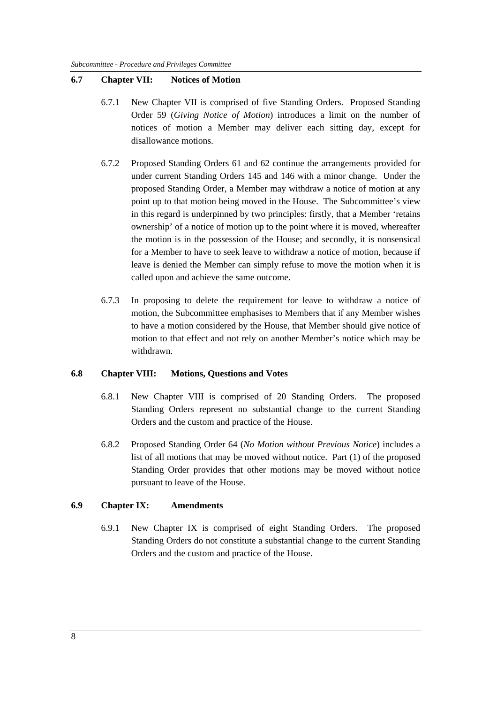#### **6.7 Chapter VII: Notices of Motion**

- 6.7.1 New Chapter VII is comprised of five Standing Orders. Proposed Standing Order 59 (*Giving Notice of Motion*) introduces a limit on the number of notices of motion a Member may deliver each sitting day, except for disallowance motions.
- 6.7.2 Proposed Standing Orders 61 and 62 continue the arrangements provided for under current Standing Orders 145 and 146 with a minor change. Under the proposed Standing Order, a Member may withdraw a notice of motion at any point up to that motion being moved in the House. The Subcommittee's view in this regard is underpinned by two principles: firstly, that a Member 'retains ownership' of a notice of motion up to the point where it is moved, whereafter the motion is in the possession of the House; and secondly, it is nonsensical for a Member to have to seek leave to withdraw a notice of motion, because if leave is denied the Member can simply refuse to move the motion when it is called upon and achieve the same outcome.
- 6.7.3 In proposing to delete the requirement for leave to withdraw a notice of motion, the Subcommittee emphasises to Members that if any Member wishes to have a motion considered by the House, that Member should give notice of motion to that effect and not rely on another Member's notice which may be withdrawn.

#### **6.8 Chapter VIII: Motions, Questions and Votes**

- 6.8.1 New Chapter VIII is comprised of 20 Standing Orders. The proposed Standing Orders represent no substantial change to the current Standing Orders and the custom and practice of the House.
- 6.8.2 Proposed Standing Order 64 (*No Motion without Previous Notice*) includes a list of all motions that may be moved without notice. Part (1) of the proposed Standing Order provides that other motions may be moved without notice pursuant to leave of the House.

#### **6.9 Chapter IX: Amendments**

6.9.1 New Chapter IX is comprised of eight Standing Orders. The proposed Standing Orders do not constitute a substantial change to the current Standing Orders and the custom and practice of the House.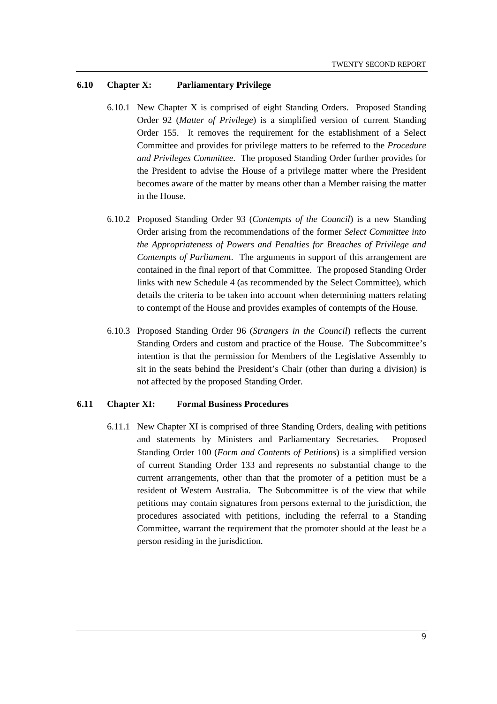#### **6.10 Chapter X: Parliamentary Privilege**

- 6.10.1 New Chapter X is comprised of eight Standing Orders. Proposed Standing Order 92 (*Matter of Privilege*) is a simplified version of current Standing Order 155. It removes the requirement for the establishment of a Select Committee and provides for privilege matters to be referred to the *Procedure and Privileges Committee*. The proposed Standing Order further provides for the President to advise the House of a privilege matter where the President becomes aware of the matter by means other than a Member raising the matter in the House.
- 6.10.2 Proposed Standing Order 93 (*Contempts of the Council*) is a new Standing Order arising from the recommendations of the former *Select Committee into the Appropriateness of Powers and Penalties for Breaches of Privilege and Contempts of Parliament*. The arguments in support of this arrangement are contained in the final report of that Committee. The proposed Standing Order links with new Schedule 4 (as recommended by the Select Committee), which details the criteria to be taken into account when determining matters relating to contempt of the House and provides examples of contempts of the House.
- 6.10.3 Proposed Standing Order 96 (*Strangers in the Council*) reflects the current Standing Orders and custom and practice of the House. The Subcommittee's intention is that the permission for Members of the Legislative Assembly to sit in the seats behind the President's Chair (other than during a division) is not affected by the proposed Standing Order.

#### **6.11 Chapter XI: Formal Business Procedures**

6.11.1 New Chapter XI is comprised of three Standing Orders, dealing with petitions and statements by Ministers and Parliamentary Secretaries. Proposed Standing Order 100 (*Form and Contents of Petitions*) is a simplified version of current Standing Order 133 and represents no substantial change to the current arrangements, other than that the promoter of a petition must be a resident of Western Australia. The Subcommittee is of the view that while petitions may contain signatures from persons external to the jurisdiction, the procedures associated with petitions, including the referral to a Standing Committee, warrant the requirement that the promoter should at the least be a person residing in the jurisdiction.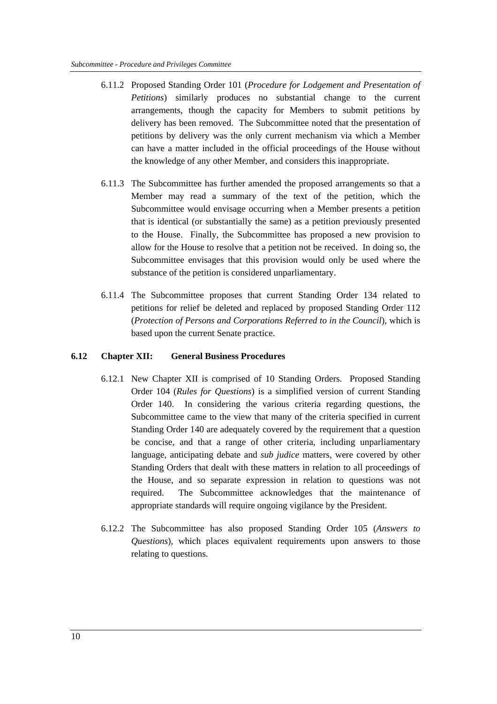- 6.11.2 Proposed Standing Order 101 (*Procedure for Lodgement and Presentation of Petitions*) similarly produces no substantial change to the current arrangements, though the capacity for Members to submit petitions by delivery has been removed. The Subcommittee noted that the presentation of petitions by delivery was the only current mechanism via which a Member can have a matter included in the official proceedings of the House without the knowledge of any other Member, and considers this inappropriate.
- 6.11.3 The Subcommittee has further amended the proposed arrangements so that a Member may read a summary of the text of the petition, which the Subcommittee would envisage occurring when a Member presents a petition that is identical (or substantially the same) as a petition previously presented to the House. Finally, the Subcommittee has proposed a new provision to allow for the House to resolve that a petition not be received. In doing so, the Subcommittee envisages that this provision would only be used where the substance of the petition is considered unparliamentary.
- 6.11.4 The Subcommittee proposes that current Standing Order 134 related to petitions for relief be deleted and replaced by proposed Standing Order 112 (*Protection of Persons and Corporations Referred to in the Council*), which is based upon the current Senate practice.

#### **6.12 Chapter XII: General Business Procedures**

- 6.12.1 New Chapter XII is comprised of 10 Standing Orders. Proposed Standing Order 104 (*Rules for Questions*) is a simplified version of current Standing Order 140. In considering the various criteria regarding questions, the Subcommittee came to the view that many of the criteria specified in current Standing Order 140 are adequately covered by the requirement that a question be concise, and that a range of other criteria, including unparliamentary language, anticipating debate and *sub judice* matters, were covered by other Standing Orders that dealt with these matters in relation to all proceedings of the House, and so separate expression in relation to questions was not required. The Subcommittee acknowledges that the maintenance of appropriate standards will require ongoing vigilance by the President.
- 6.12.2 The Subcommittee has also proposed Standing Order 105 (*Answers to Questions*), which places equivalent requirements upon answers to those relating to questions.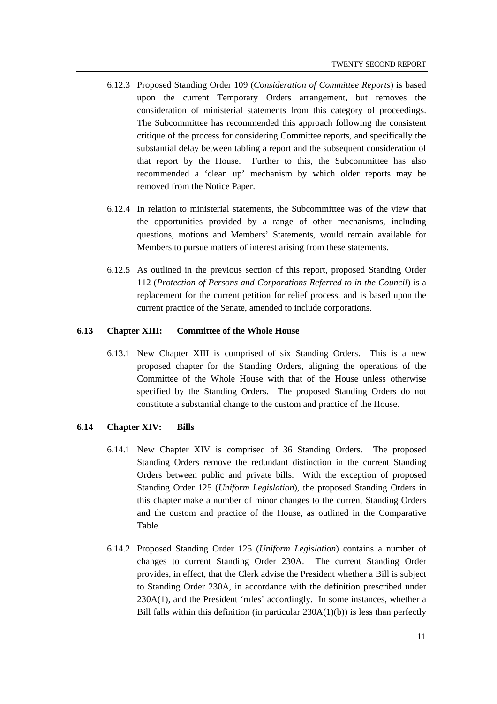- 6.12.3 Proposed Standing Order 109 (*Consideration of Committee Reports*) is based upon the current Temporary Orders arrangement, but removes the consideration of ministerial statements from this category of proceedings. The Subcommittee has recommended this approach following the consistent critique of the process for considering Committee reports, and specifically the substantial delay between tabling a report and the subsequent consideration of that report by the House. Further to this, the Subcommittee has also recommended a 'clean up' mechanism by which older reports may be removed from the Notice Paper.
- 6.12.4 In relation to ministerial statements, the Subcommittee was of the view that the opportunities provided by a range of other mechanisms, including questions, motions and Members' Statements, would remain available for Members to pursue matters of interest arising from these statements.
- 6.12.5 As outlined in the previous section of this report, proposed Standing Order 112 (*Protection of Persons and Corporations Referred to in the Council*) is a replacement for the current petition for relief process, and is based upon the current practice of the Senate, amended to include corporations.

#### **6.13 Chapter XIII: Committee of the Whole House**

6.13.1 New Chapter XIII is comprised of six Standing Orders. This is a new proposed chapter for the Standing Orders, aligning the operations of the Committee of the Whole House with that of the House unless otherwise specified by the Standing Orders. The proposed Standing Orders do not constitute a substantial change to the custom and practice of the House.

#### **6.14 Chapter XIV: Bills**

- 6.14.1 New Chapter XIV is comprised of 36 Standing Orders. The proposed Standing Orders remove the redundant distinction in the current Standing Orders between public and private bills. With the exception of proposed Standing Order 125 (*Uniform Legislation*), the proposed Standing Orders in this chapter make a number of minor changes to the current Standing Orders and the custom and practice of the House, as outlined in the Comparative Table.
- 6.14.2 Proposed Standing Order 125 (*Uniform Legislation*) contains a number of changes to current Standing Order 230A. The current Standing Order provides, in effect, that the Clerk advise the President whether a Bill is subject to Standing Order 230A, in accordance with the definition prescribed under 230A(1), and the President 'rules' accordingly. In some instances, whether a Bill falls within this definition (in particular 230A(1)(b)) is less than perfectly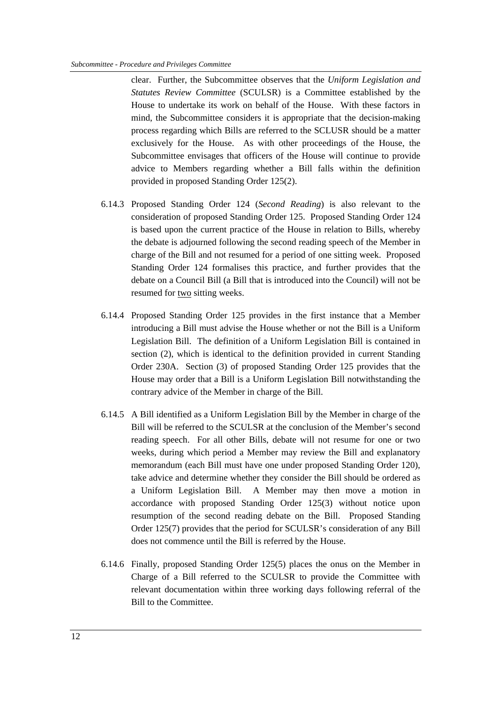clear. Further, the Subcommittee observes that the *Uniform Legislation and Statutes Review Committee* (SCULSR) is a Committee established by the House to undertake its work on behalf of the House. With these factors in mind, the Subcommittee considers it is appropriate that the decision-making process regarding which Bills are referred to the SCLUSR should be a matter exclusively for the House. As with other proceedings of the House, the Subcommittee envisages that officers of the House will continue to provide advice to Members regarding whether a Bill falls within the definition provided in proposed Standing Order 125(2).

- 6.14.3 Proposed Standing Order 124 (*Second Reading*) is also relevant to the consideration of proposed Standing Order 125. Proposed Standing Order 124 is based upon the current practice of the House in relation to Bills, whereby the debate is adjourned following the second reading speech of the Member in charge of the Bill and not resumed for a period of one sitting week. Proposed Standing Order 124 formalises this practice, and further provides that the debate on a Council Bill (a Bill that is introduced into the Council) will not be resumed for two sitting weeks.
- 6.14.4 Proposed Standing Order 125 provides in the first instance that a Member introducing a Bill must advise the House whether or not the Bill is a Uniform Legislation Bill. The definition of a Uniform Legislation Bill is contained in section (2), which is identical to the definition provided in current Standing Order 230A. Section (3) of proposed Standing Order 125 provides that the House may order that a Bill is a Uniform Legislation Bill notwithstanding the contrary advice of the Member in charge of the Bill.
- 6.14.5 A Bill identified as a Uniform Legislation Bill by the Member in charge of the Bill will be referred to the SCULSR at the conclusion of the Member's second reading speech. For all other Bills, debate will not resume for one or two weeks, during which period a Member may review the Bill and explanatory memorandum (each Bill must have one under proposed Standing Order 120), take advice and determine whether they consider the Bill should be ordered as a Uniform Legislation Bill. A Member may then move a motion in accordance with proposed Standing Order 125(3) without notice upon resumption of the second reading debate on the Bill. Proposed Standing Order 125(7) provides that the period for SCULSR's consideration of any Bill does not commence until the Bill is referred by the House.
- 6.14.6 Finally, proposed Standing Order 125(5) places the onus on the Member in Charge of a Bill referred to the SCULSR to provide the Committee with relevant documentation within three working days following referral of the Bill to the Committee.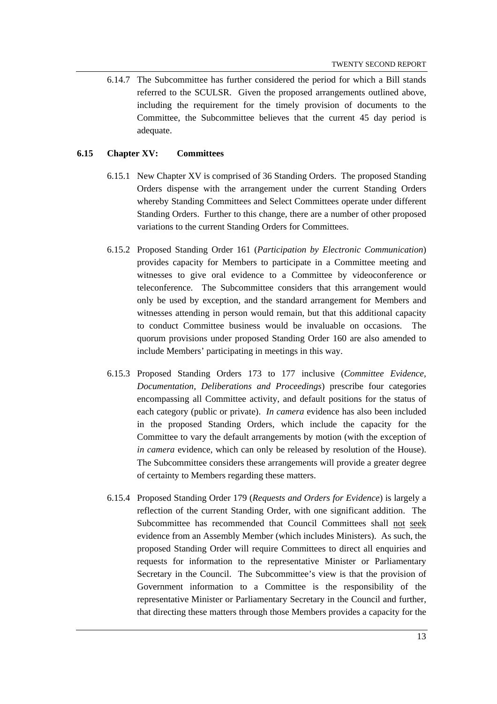6.14.7 The Subcommittee has further considered the period for which a Bill stands referred to the SCULSR. Given the proposed arrangements outlined above, including the requirement for the timely provision of documents to the Committee, the Subcommittee believes that the current 45 day period is adequate.

#### **6.15 Chapter XV: Committees**

- 6.15.1 New Chapter XV is comprised of 36 Standing Orders. The proposed Standing Orders dispense with the arrangement under the current Standing Orders whereby Standing Committees and Select Committees operate under different Standing Orders. Further to this change, there are a number of other proposed variations to the current Standing Orders for Committees.
- 6.15.2 Proposed Standing Order 161 (*Participation by Electronic Communication*) provides capacity for Members to participate in a Committee meeting and witnesses to give oral evidence to a Committee by videoconference or teleconference. The Subcommittee considers that this arrangement would only be used by exception, and the standard arrangement for Members and witnesses attending in person would remain, but that this additional capacity to conduct Committee business would be invaluable on occasions. The quorum provisions under proposed Standing Order 160 are also amended to include Members' participating in meetings in this way.
- 6.15.3 Proposed Standing Orders 173 to 177 inclusive (*Committee Evidence, Documentation, Deliberations and Proceedings*) prescribe four categories encompassing all Committee activity, and default positions for the status of each category (public or private). *In camera* evidence has also been included in the proposed Standing Orders, which include the capacity for the Committee to vary the default arrangements by motion (with the exception of *in camera* evidence, which can only be released by resolution of the House). The Subcommittee considers these arrangements will provide a greater degree of certainty to Members regarding these matters.
- 6.15.4 Proposed Standing Order 179 (*Requests and Orders for Evidence*) is largely a reflection of the current Standing Order, with one significant addition. The Subcommittee has recommended that Council Committees shall not seek evidence from an Assembly Member (which includes Ministers). As such, the proposed Standing Order will require Committees to direct all enquiries and requests for information to the representative Minister or Parliamentary Secretary in the Council. The Subcommittee's view is that the provision of Government information to a Committee is the responsibility of the representative Minister or Parliamentary Secretary in the Council and further, that directing these matters through those Members provides a capacity for the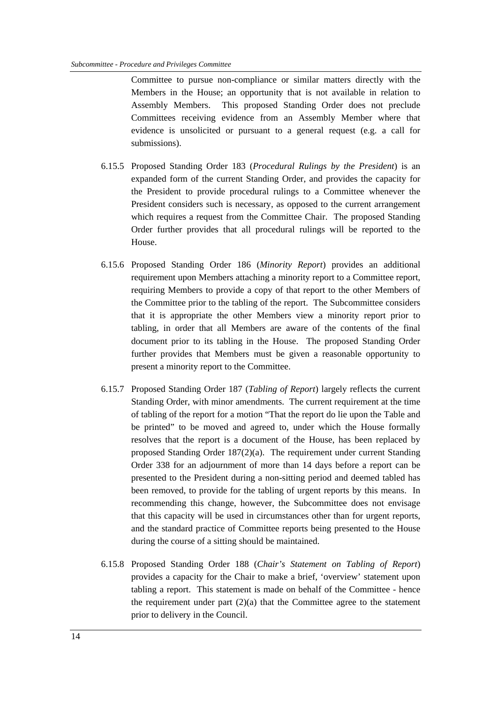Committee to pursue non-compliance or similar matters directly with the Members in the House; an opportunity that is not available in relation to Assembly Members. This proposed Standing Order does not preclude Committees receiving evidence from an Assembly Member where that evidence is unsolicited or pursuant to a general request (e.g. a call for submissions).

- 6.15.5 Proposed Standing Order 183 (*Procedural Rulings by the President*) is an expanded form of the current Standing Order, and provides the capacity for the President to provide procedural rulings to a Committee whenever the President considers such is necessary, as opposed to the current arrangement which requires a request from the Committee Chair. The proposed Standing Order further provides that all procedural rulings will be reported to the House.
- 6.15.6 Proposed Standing Order 186 (*Minority Report*) provides an additional requirement upon Members attaching a minority report to a Committee report, requiring Members to provide a copy of that report to the other Members of the Committee prior to the tabling of the report. The Subcommittee considers that it is appropriate the other Members view a minority report prior to tabling, in order that all Members are aware of the contents of the final document prior to its tabling in the House. The proposed Standing Order further provides that Members must be given a reasonable opportunity to present a minority report to the Committee.
- 6.15.7 Proposed Standing Order 187 (*Tabling of Report*) largely reflects the current Standing Order, with minor amendments. The current requirement at the time of tabling of the report for a motion "That the report do lie upon the Table and be printed" to be moved and agreed to, under which the House formally resolves that the report is a document of the House, has been replaced by proposed Standing Order 187(2)(a). The requirement under current Standing Order 338 for an adjournment of more than 14 days before a report can be presented to the President during a non-sitting period and deemed tabled has been removed, to provide for the tabling of urgent reports by this means. In recommending this change, however, the Subcommittee does not envisage that this capacity will be used in circumstances other than for urgent reports, and the standard practice of Committee reports being presented to the House during the course of a sitting should be maintained.
- 6.15.8 Proposed Standing Order 188 (*Chair's Statement on Tabling of Report*) provides a capacity for the Chair to make a brief, 'overview' statement upon tabling a report. This statement is made on behalf of the Committee - hence the requirement under part  $(2)(a)$  that the Committee agree to the statement prior to delivery in the Council.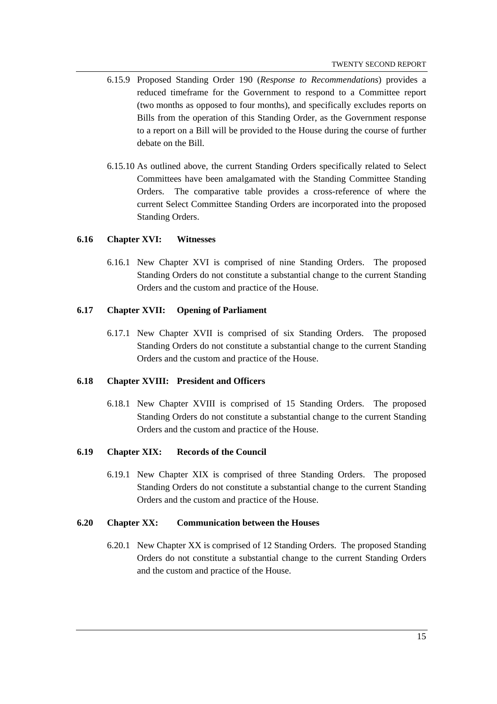- 6.15.9 Proposed Standing Order 190 (*Response to Recommendations*) provides a reduced timeframe for the Government to respond to a Committee report (two months as opposed to four months), and specifically excludes reports on Bills from the operation of this Standing Order, as the Government response to a report on a Bill will be provided to the House during the course of further debate on the Bill.
- 6.15.10 As outlined above, the current Standing Orders specifically related to Select Committees have been amalgamated with the Standing Committee Standing Orders. The comparative table provides a cross-reference of where the current Select Committee Standing Orders are incorporated into the proposed Standing Orders.

#### **6.16 Chapter XVI: Witnesses**

6.16.1 New Chapter XVI is comprised of nine Standing Orders. The proposed Standing Orders do not constitute a substantial change to the current Standing Orders and the custom and practice of the House.

#### **6.17 Chapter XVII: Opening of Parliament**

6.17.1 New Chapter XVII is comprised of six Standing Orders. The proposed Standing Orders do not constitute a substantial change to the current Standing Orders and the custom and practice of the House.

#### **6.18 Chapter XVIII: President and Officers**

6.18.1 New Chapter XVIII is comprised of 15 Standing Orders. The proposed Standing Orders do not constitute a substantial change to the current Standing Orders and the custom and practice of the House.

#### **6.19 Chapter XIX: Records of the Council**

6.19.1 New Chapter XIX is comprised of three Standing Orders. The proposed Standing Orders do not constitute a substantial change to the current Standing Orders and the custom and practice of the House.

#### **6.20 Chapter XX: Communication between the Houses**

6.20.1 New Chapter XX is comprised of 12 Standing Orders. The proposed Standing Orders do not constitute a substantial change to the current Standing Orders and the custom and practice of the House.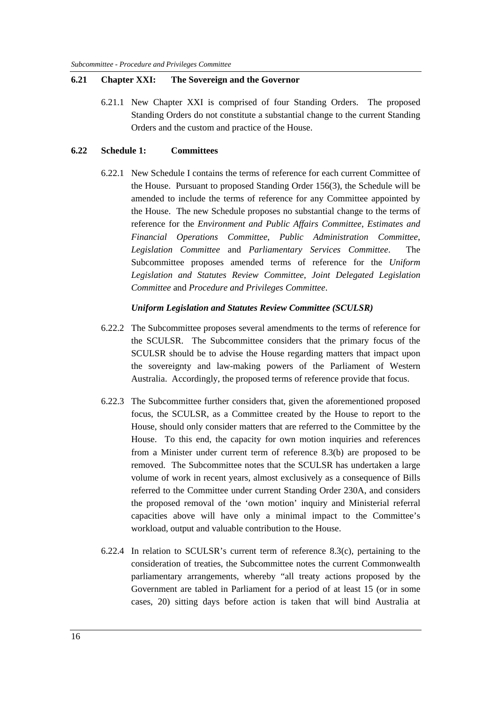#### **6.21 Chapter XXI: The Sovereign and the Governor**

6.21.1 New Chapter XXI is comprised of four Standing Orders. The proposed Standing Orders do not constitute a substantial change to the current Standing Orders and the custom and practice of the House.

#### **6.22 Schedule 1: Committees**

6.22.1 New Schedule I contains the terms of reference for each current Committee of the House. Pursuant to proposed Standing Order 156(3), the Schedule will be amended to include the terms of reference for any Committee appointed by the House. The new Schedule proposes no substantial change to the terms of reference for the *Environment and Public Affairs Committee*, *Estimates and Financial Operations Committee*, *Public Administration Committee*, *Legislation Committee* and *Parliamentary Services Committee*. The Subcommittee proposes amended terms of reference for the *Uniform Legislation and Statutes Review Committee*, *Joint Delegated Legislation Committee* and *Procedure and Privileges Committee*.

#### *Uniform Legislation and Statutes Review Committee (SCULSR)*

- 6.22.2 The Subcommittee proposes several amendments to the terms of reference for the SCULSR. The Subcommittee considers that the primary focus of the SCULSR should be to advise the House regarding matters that impact upon the sovereignty and law-making powers of the Parliament of Western Australia. Accordingly, the proposed terms of reference provide that focus.
- 6.22.3 The Subcommittee further considers that, given the aforementioned proposed focus, the SCULSR, as a Committee created by the House to report to the House, should only consider matters that are referred to the Committee by the House. To this end, the capacity for own motion inquiries and references from a Minister under current term of reference 8.3(b) are proposed to be removed. The Subcommittee notes that the SCULSR has undertaken a large volume of work in recent years, almost exclusively as a consequence of Bills referred to the Committee under current Standing Order 230A, and considers the proposed removal of the 'own motion' inquiry and Ministerial referral capacities above will have only a minimal impact to the Committee's workload, output and valuable contribution to the House.
- 6.22.4 In relation to SCULSR's current term of reference  $8.3(c)$ , pertaining to the consideration of treaties, the Subcommittee notes the current Commonwealth parliamentary arrangements, whereby "all treaty actions proposed by the Government are tabled in Parliament for a period of at least 15 (or in some cases, 20) sitting days before action is taken that will bind Australia at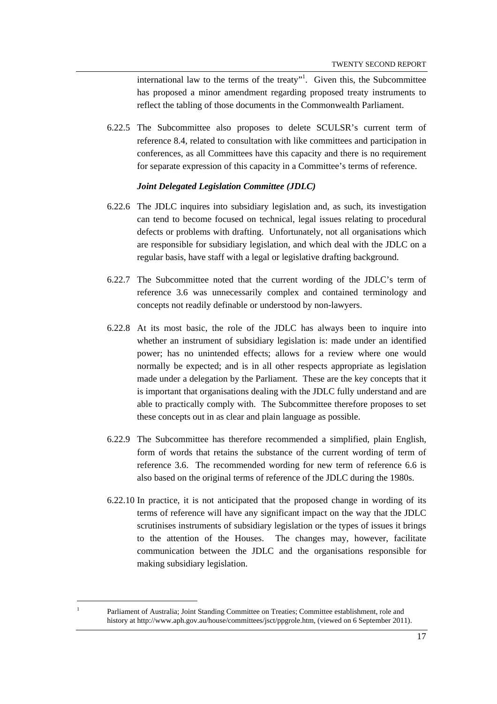international law to the terms of the treaty"<sup>1</sup>. Given this, the Subcommittee has proposed a minor amendment regarding proposed treaty instruments to reflect the tabling of those documents in the Commonwealth Parliament.

6.22.5 The Subcommittee also proposes to delete SCULSR's current term of reference 8.4, related to consultation with like committees and participation in conferences, as all Committees have this capacity and there is no requirement for separate expression of this capacity in a Committee's terms of reference.

#### *Joint Delegated Legislation Committee (JDLC)*

- 6.22.6 The JDLC inquires into subsidiary legislation and, as such, its investigation can tend to become focused on technical, legal issues relating to procedural defects or problems with drafting. Unfortunately, not all organisations which are responsible for subsidiary legislation, and which deal with the JDLC on a regular basis, have staff with a legal or legislative drafting background.
- 6.22.7 The Subcommittee noted that the current wording of the JDLC's term of reference 3.6 was unnecessarily complex and contained terminology and concepts not readily definable or understood by non-lawyers.
- 6.22.8 At its most basic, the role of the JDLC has always been to inquire into whether an instrument of subsidiary legislation is: made under an identified power; has no unintended effects; allows for a review where one would normally be expected; and is in all other respects appropriate as legislation made under a delegation by the Parliament. These are the key concepts that it is important that organisations dealing with the JDLC fully understand and are able to practically comply with. The Subcommittee therefore proposes to set these concepts out in as clear and plain language as possible.
- 6.22.9 The Subcommittee has therefore recommended a simplified, plain English, form of words that retains the substance of the current wording of term of reference 3.6. The recommended wording for new term of reference 6.6 is also based on the original terms of reference of the JDLC during the 1980s.
- 6.22.10 In practice, it is not anticipated that the proposed change in wording of its terms of reference will have any significant impact on the way that the JDLC scrutinises instruments of subsidiary legislation or the types of issues it brings to the attention of the Houses. The changes may, however, facilitate communication between the JDLC and the organisations responsible for making subsidiary legislation.

 $\overline{a}$ 1

Parliament of Australia; Joint Standing Committee on Treaties; Committee establishment, role and history at http://www.aph.gov.au/house/committees/jsct/ppgrole.htm, (viewed on 6 September 2011).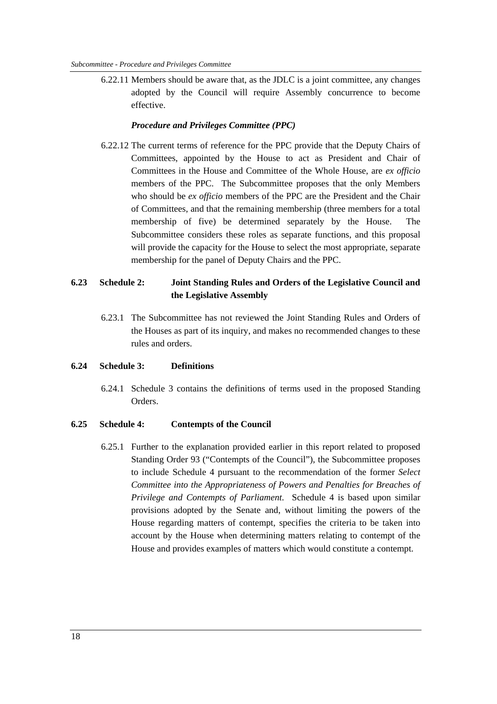6.22.11 Members should be aware that, as the JDLC is a joint committee, any changes adopted by the Council will require Assembly concurrence to become effective.

### *Procedure and Privileges Committee (PPC)*

6.22.12 The current terms of reference for the PPC provide that the Deputy Chairs of Committees, appointed by the House to act as President and Chair of Committees in the House and Committee of the Whole House, are *ex officio* members of the PPC. The Subcommittee proposes that the only Members who should be *ex officio* members of the PPC are the President and the Chair of Committees, and that the remaining membership (three members for a total membership of five) be determined separately by the House. The Subcommittee considers these roles as separate functions, and this proposal will provide the capacity for the House to select the most appropriate, separate membership for the panel of Deputy Chairs and the PPC.

## **6.23 Schedule 2: Joint Standing Rules and Orders of the Legislative Council and the Legislative Assembly**

6.23.1 The Subcommittee has not reviewed the Joint Standing Rules and Orders of the Houses as part of its inquiry, and makes no recommended changes to these rules and orders.

#### **6.24 Schedule 3: Definitions**

6.24.1 Schedule 3 contains the definitions of terms used in the proposed Standing **Orders** 

#### **6.25 Schedule 4: Contempts of the Council**

6.25.1 Further to the explanation provided earlier in this report related to proposed Standing Order 93 ("Contempts of the Council"), the Subcommittee proposes to include Schedule 4 pursuant to the recommendation of the former *Select Committee into the Appropriateness of Powers and Penalties for Breaches of Privilege and Contempts of Parliament*. Schedule 4 is based upon similar provisions adopted by the Senate and, without limiting the powers of the House regarding matters of contempt, specifies the criteria to be taken into account by the House when determining matters relating to contempt of the House and provides examples of matters which would constitute a contempt.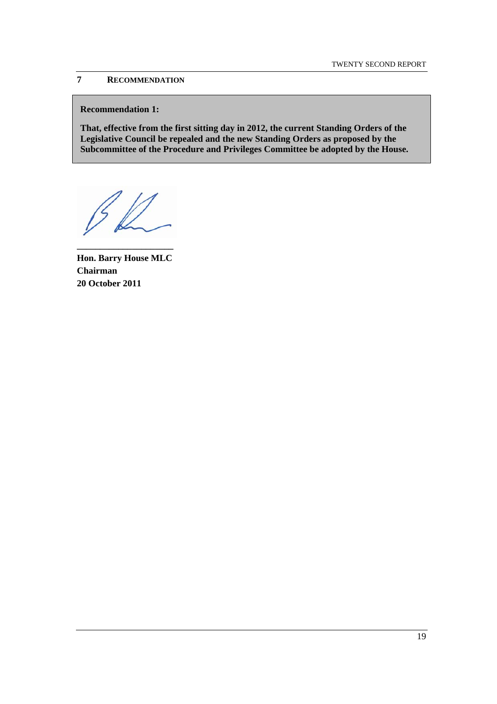## **7 RECOMMENDATION**

#### **Recommendation 1:**

**That, effective from the first sitting day in 2012, the current Standing Orders of the Legislative Council be repealed and the new Standing Orders as proposed by the Subcommittee of the Procedure and Privileges Committee be adopted by the House.** 

**\_\_\_\_\_\_\_\_\_\_\_\_\_\_\_\_\_\_\_\_\_** 

**Hon. Barry House MLC Chairman 20 October 2011**